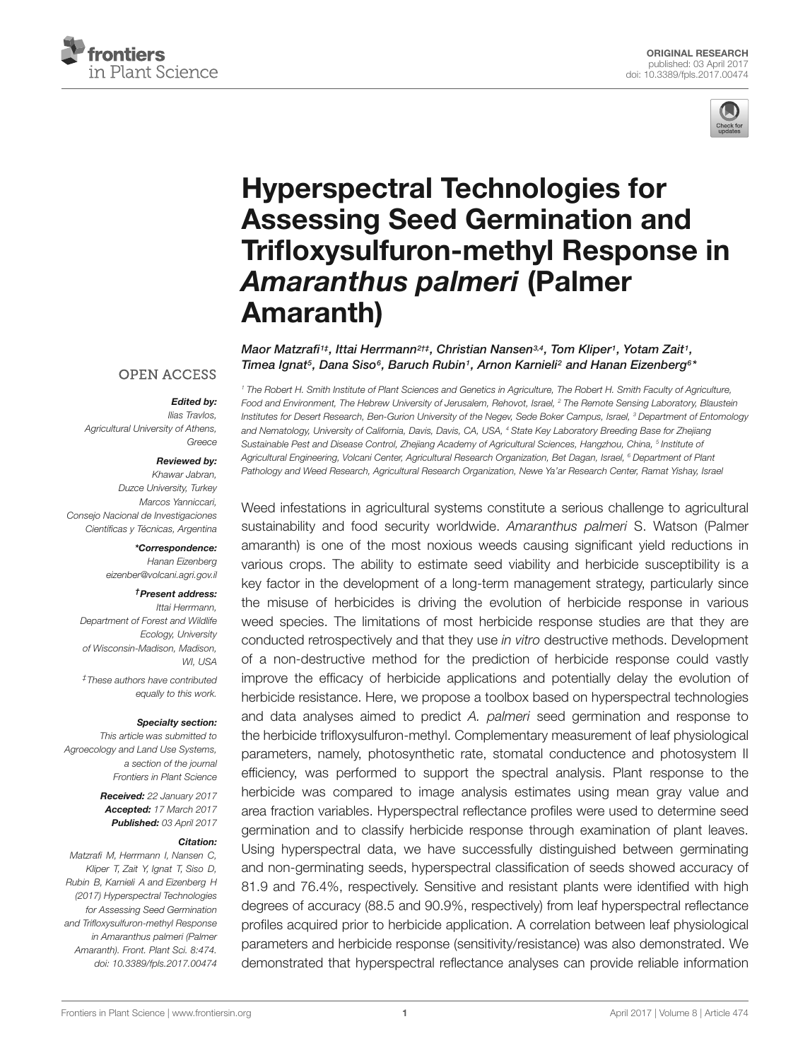



# Hyperspectral Technologies for Assessing Seed Germination and Trifloxysulfuron-methyl Response in *Amaranthus palmeri* (Palmer Amaranth)

Maor Matzrafi1‡, Ittai Herrmann<sup>2†‡</sup>, Christian Nansen¾, Tom Kliper1, Yotam Zait1, Timea Ignat<sup>5</sup>, Dana Siso<sup>6</sup>, Baruch Rubin<sup>1</sup>, Arnon Karnieli<sup>2</sup> and Hanan Eizenberg<sup>6\*</sup>

### **OPEN ACCESS**

#### *Edited by:*

Ilias Travlos, Agricultural University of Athens, Greece

#### *Reviewed by:*

Khawar Jabran, Duzce University, Turkey Marcos Yanniccari, Consejo Nacional de Investigaciones Científicas y Técnicas, Argentina

> *\*Correspondence:* Hanan Eizenberg eizenber@volcani.agri.gov.il

#### *†Present address:*

Ittai Herrmann, Department of Forest and Wildlife Ecology, University of Wisconsin-Madison, Madison, **WI, USA** 

‡These authors have contributed equally to this work.

#### *Specialty section:*

This article was submitted to Agroecology and Land Use Systems, a section of the journal Frontiers in Plant Science

> *Received:* 22 January 2017 *Accepted:* 17 March 2017 *Published:* 03 April 2017

#### *Citation:*

Matzrafi M, Herrmann I, Nansen C, Kliper T, Zait Y, Ignat T, Siso D, Rubin B, Karnieli A and Eizenberg H (2017) Hyperspectral Technologies for Assessing Seed Germination and Trifloxysulfuron-methyl Response in Amaranthus palmeri (Palmer Amaranth). Front. Plant Sci. 8:474. doi: 10.3389/fpls.2017.00474

<sup>1</sup> The Robert H. Smith Institute of Plant Sciences and Genetics in Agriculture, The Robert H. Smith Faculty of Agriculture, Food and Environment, The Hebrew University of Jerusalem, Rehovot, Israel, <sup>2</sup> The Remote Sensing Laboratory, Blaustein Institutes for Desert Research, Ben-Gurion University of the Negev, Sede Boker Campus, Israel, <sup>3</sup> Department of Entomology and Nematology, University of California, Davis, Davis, CA, USA, <sup>4</sup> State Key Laboratory Breeding Base for Zhejiang Sustainable Pest and Disease Control, Zhejiang Academy of Agricultural Sciences, Hangzhou, China, <sup>5</sup> Institute oi Agricultural Engineering, Volcani Center, Agricultural Research Organization, Bet Dagan, Israel, <sup>6</sup> Department of Plant Pathology and Weed Research, Agricultural Research Organization, Newe Ya'ar Research Center, Ramat Yishay, Israel

Weed infestations in agricultural systems constitute a serious challenge to agricultural sustainability and food security worldwide. Amaranthus palmeri S. Watson (Palmer amaranth) is one of the most noxious weeds causing significant yield reductions in various crops. The ability to estimate seed viability and herbicide susceptibility is a key factor in the development of a long-term management strategy, particularly since the misuse of herbicides is driving the evolution of herbicide response in various weed species. The limitations of most herbicide response studies are that they are conducted retrospectively and that they use in vitro destructive methods. Development of a non-destructive method for the prediction of herbicide response could vastly improve the efficacy of herbicide applications and potentially delay the evolution of herbicide resistance. Here, we propose a toolbox based on hyperspectral technologies and data analyses aimed to predict A. palmeri seed germination and response to the herbicide trifloxysulfuron-methyl. Complementary measurement of leaf physiological parameters, namely, photosynthetic rate, stomatal conductence and photosystem II efficiency, was performed to support the spectral analysis. Plant response to the herbicide was compared to image analysis estimates using mean gray value and area fraction variables. Hyperspectral reflectance profiles were used to determine seed germination and to classify herbicide response through examination of plant leaves. Using hyperspectral data, we have successfully distinguished between germinating and non-germinating seeds, hyperspectral classification of seeds showed accuracy of 81.9 and 76.4%, respectively. Sensitive and resistant plants were identified with high degrees of accuracy (88.5 and 90.9%, respectively) from leaf hyperspectral reflectance profiles acquired prior to herbicide application. A correlation between leaf physiological parameters and herbicide response (sensitivity/resistance) was also demonstrated. We demonstrated that hyperspectral reflectance analyses can provide reliable information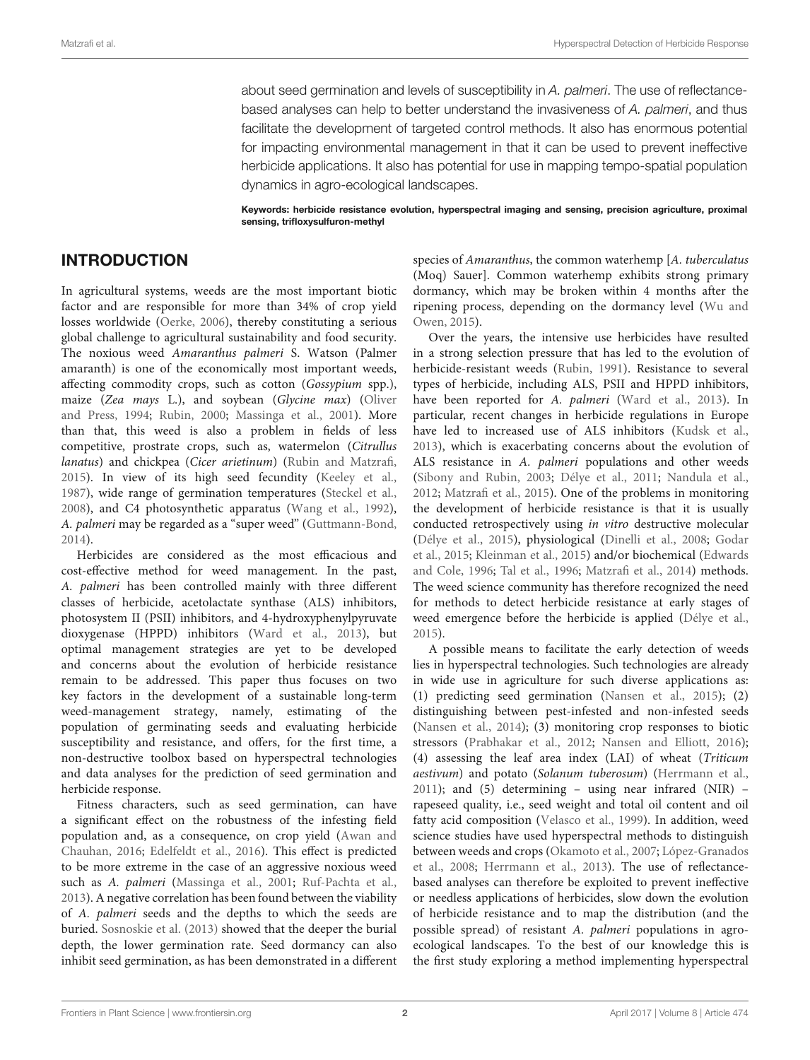about seed germination and levels of susceptibility in A. palmeri. The use of reflectancebased analyses can help to better understand the invasiveness of A. palmeri, and thus facilitate the development of targeted control methods. It also has enormous potential for impacting environmental management in that it can be used to prevent ineffective herbicide applications. It also has potential for use in mapping tempo-spatial population dynamics in agro-ecological landscapes.

Keywords: herbicide resistance evolution, hyperspectral imaging and sensing, precision agriculture, proximal sensing, trifloxysulfuron-methyl

# INTRODUCTION

In agricultural systems, weeds are the most important biotic factor and are responsible for more than 34% of crop yield losses worldwide (Oerke, 2006), thereby constituting a serious global challenge to agricultural sustainability and food security. The noxious weed Amaranthus palmeri S. Watson (Palmer amaranth) is one of the economically most important weeds, affecting commodity crops, such as cotton (Gossypium spp.), maize (Zea mays L.), and soybean (Glycine max) (Oliver and Press, 1994; Rubin, 2000; Massinga et al., 2001). More than that, this weed is also a problem in fields of less competitive, prostrate crops, such as, watermelon (Citrullus lanatus) and chickpea (Cicer arietinum) (Rubin and Matzrafi, 2015). In view of its high seed fecundity (Keeley et al., 1987), wide range of germination temperatures (Steckel et al., 2008), and C4 photosynthetic apparatus (Wang et al., 1992), A. palmeri may be regarded as a "super weed" (Guttmann-Bond, 2014).

Herbicides are considered as the most efficacious and cost-effective method for weed management. In the past, A. palmeri has been controlled mainly with three different classes of herbicide, acetolactate synthase (ALS) inhibitors, photosystem II (PSII) inhibitors, and 4-hydroxyphenylpyruvate dioxygenase (HPPD) inhibitors (Ward et al., 2013), but optimal management strategies are yet to be developed and concerns about the evolution of herbicide resistance remain to be addressed. This paper thus focuses on two key factors in the development of a sustainable long-term weed-management strategy, namely, estimating of the population of germinating seeds and evaluating herbicide susceptibility and resistance, and offers, for the first time, a non-destructive toolbox based on hyperspectral technologies and data analyses for the prediction of seed germination and herbicide response.

Fitness characters, such as seed germination, can have a significant effect on the robustness of the infesting field population and, as a consequence, on crop yield (Awan and Chauhan, 2016; Edelfeldt et al., 2016). This effect is predicted to be more extreme in the case of an aggressive noxious weed such as A. palmeri (Massinga et al., 2001; Ruf-Pachta et al., 2013). A negative correlation has been found between the viability of A. palmeri seeds and the depths to which the seeds are buried. Sosnoskie et al. (2013) showed that the deeper the burial depth, the lower germination rate. Seed dormancy can also inhibit seed germination, as has been demonstrated in a different species of Amaranthus, the common waterhemp [A. tuberculatus] (Moq) Sauer]. Common waterhemp exhibits strong primary dormancy, which may be broken within 4 months after the ripening process, depending on the dormancy level (Wu and Owen, 2015).

Over the years, the intensive use herbicides have resulted in a strong selection pressure that has led to the evolution of herbicide-resistant weeds (Rubin, 1991). Resistance to several types of herbicide, including ALS, PSII and HPPD inhibitors, have been reported for A. palmeri (Ward et al., 2013). In particular, recent changes in herbicide regulations in Europe have led to increased use of ALS inhibitors (Kudsk et al., 2013), which is exacerbating concerns about the evolution of ALS resistance in A. palmeri populations and other weeds (Sibony and Rubin, 2003; Délye et al., 2011; Nandula et al., 2012; Matzrafi et al., 2015). One of the problems in monitoring the development of herbicide resistance is that it is usually conducted retrospectively using in vitro destructive molecular (Délye et al., 2015), physiological (Dinelli et al., 2008; Godar et al., 2015; Kleinman et al., 2015) and/or biochemical (Edwards and Cole, 1996; Tal et al., 1996; Matzrafi et al., 2014) methods. The weed science community has therefore recognized the need for methods to detect herbicide resistance at early stages of weed emergence before the herbicide is applied (Délye et al., 2015).

A possible means to facilitate the early detection of weeds lies in hyperspectral technologies. Such technologies are already in wide use in agriculture for such diverse applications as: (1) predicting seed germination (Nansen et al., 2015); (2) distinguishing between pest-infested and non-infested seeds (Nansen et al., 2014); (3) monitoring crop responses to biotic stressors (Prabhakar et al., 2012; Nansen and Elliott, 2016); (4) assessing the leaf area index (LAI) of wheat (Triticum aestivum) and potato (Solanum tuberosum) (Herrmann et al.,  $2011$ ); and (5) determining – using near infrared (NIR) – rapeseed quality, i.e., seed weight and total oil content and oil fatty acid composition (Velasco et al., 1999). In addition, weed science studies have used hyperspectral methods to distinguish between weeds and crops (Okamoto et al., 2007; López-Granados et al., 2008; Herrmann et al., 2013). The use of reflectancebased analyses can therefore be exploited to prevent ineffective or needless applications of herbicides, slow down the evolution of herbicide resistance and to map the distribution (and the possible spread) of resistant A. palmeri populations in agroecological landscapes. To the best of our knowledge this is the first study exploring a method implementing hyperspectral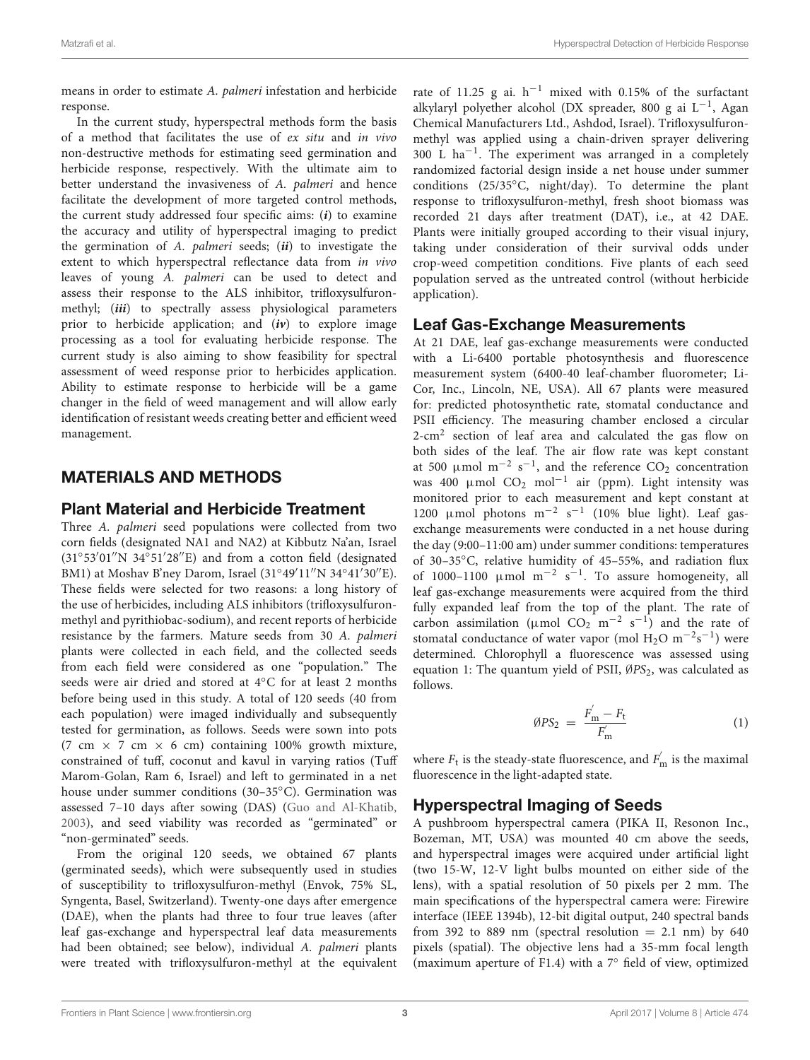means in order to estimate A. palmeri infestation and herbicide response.

In the current study, hyperspectral methods form the basis of a method that facilitates the use of ex situ and in vivo non-destructive methods for estimating seed germination and herbicide response, respectively. With the ultimate aim to better understand the invasiveness of A. palmeri and hence facilitate the development of more targeted control methods, the current study addressed four specific aims: (**i**) to examine the accuracy and utility of hyperspectral imaging to predict the germination of A. palmeri seeds; (**ii**) to investigate the extent to which hyperspectral reflectance data from in vivo leaves of young A. palmeri can be used to detect and assess their response to the ALS inhibitor, trifloxysulfuronmethyl; (**iii**) to spectrally assess physiological parameters prior to herbicide application; and (**iv**) to explore image processing as a tool for evaluating herbicide response. The current study is also aiming to show feasibility for spectral assessment of weed response prior to herbicides application. Ability to estimate response to herbicide will be a game changer in the field of weed management and will allow early identification of resistant weeds creating better and efficient weed management.

# MATERIALS AND METHODS

## Plant Material and Herbicide Treatment

Three A. palmeri seed populations were collected from two corn fields (designated NA1 and NA2) at Kibbutz Na'an, Israel (31◦ 53′ 01′′N 34◦ 51′ 28′′E) and from a cotton field (designated BM1) at Moshav B'ney Darom, Israel (31°49'11"N 34°41'30"E). These fields were selected for two reasons: a long history of the use of herbicides, including ALS inhibitors (trifloxysulfuronmethyl and pyrithiobac-sodium), and recent reports of herbicide resistance by the farmers. Mature seeds from 30 A. palmeri plants were collected in each field, and the collected seeds from each field were considered as one "population." The seeds were air dried and stored at 4◦C for at least 2 months before being used in this study. A total of 120 seeds (40 from each population) were imaged individually and subsequently tested for germination, as follows. Seeds were sown into pots (7 cm  $\times$  7 cm  $\times$  6 cm) containing 100% growth mixture, constrained of tuff, coconut and kavul in varying ratios (Tuff Marom-Golan, Ram 6, Israel) and left to germinated in a net house under summer conditions (30–35◦C). Germination was assessed 7–10 days after sowing (DAS) (Guo and Al-Khatib, 2003), and seed viability was recorded as "germinated" or "non-germinated" seeds.

From the original 120 seeds, we obtained 67 plants (germinated seeds), which were subsequently used in studies of susceptibility to trifloxysulfuron-methyl (Envok, 75% SL, Syngenta, Basel, Switzerland). Twenty-one days after emergence (DAE), when the plants had three to four true leaves (after leaf gas-exchange and hyperspectral leaf data measurements had been obtained; see below), individual A. palmeri plants were treated with trifloxysulfuron-methyl at the equivalent

rate of 11.25 g ai.  $h^{-1}$  mixed with 0.15% of the surfactant alkylaryl polyether alcohol (DX spreader, 800 g ai L<sup>-1</sup>, Agan Chemical Manufacturers Ltd., Ashdod, Israel). Trifloxysulfuronmethyl was applied using a chain-driven sprayer delivering 300 L ha−<sup>1</sup> . The experiment was arranged in a completely randomized factorial design inside a net house under summer conditions (25/35◦C, night/day). To determine the plant response to trifloxysulfuron-methyl, fresh shoot biomass was recorded 21 days after treatment (DAT), i.e., at 42 DAE. Plants were initially grouped according to their visual injury, taking under consideration of their survival odds under crop-weed competition conditions. Five plants of each seed population served as the untreated control (without herbicide application).

## Leaf Gas-Exchange Measurements

At 21 DAE, leaf gas-exchange measurements were conducted with a Li-6400 portable photosynthesis and fluorescence measurement system (6400-40 leaf-chamber fluorometer; Li-Cor, Inc., Lincoln, NE, USA). All 67 plants were measured for: predicted photosynthetic rate, stomatal conductance and PSII efficiency. The measuring chamber enclosed a circular 2-cm<sup>2</sup> section of leaf area and calculated the gas flow on both sides of the leaf. The air flow rate was kept constant at 500  $\mu$ mol m<sup>-2</sup> s<sup>-1</sup>, and the reference CO<sub>2</sub> concentration was 400 μmol CO<sub>2</sub> mol<sup>-1</sup> air (ppm). Light intensity was monitored prior to each measurement and kept constant at 1200 μmol photons m<sup>-2</sup> s<sup>-1</sup> (10% blue light). Leaf gasexchange measurements were conducted in a net house during the day (9:00–11:00 am) under summer conditions: temperatures of 30–35◦C, relative humidity of 45–55%, and radiation flux of 1000-1100  $\mu$ mol m<sup>-2</sup> s<sup>-1</sup>. To assure homogeneity, all leaf gas-exchange measurements were acquired from the third fully expanded leaf from the top of the plant. The rate of carbon assimilation ( $\mu$ mol CO<sub>2</sub> m<sup>-2</sup> s<sup>-1</sup>) and the rate of stomatal conductance of water vapor (mol  $H_2O~m^{-2}s^{-1}$ ) were determined. Chlorophyll a fluorescence was assessed using equation 1: The quantum yield of PSII,  $\varnothing PS_2$ , was calculated as follows.

$$
\varnothing PS_2 = \frac{F'_{\rm m} - F_{\rm t}}{F'_{\rm m}} \tag{1}
$$

where  $F_t$  is the steady-state fluorescence, and  $F_{\text{m}}^{'}$  is the maximal fluorescence in the light-adapted state.

# Hyperspectral Imaging of Seeds

A pushbroom hyperspectral camera (PIKA II, Resonon Inc., Bozeman, MT, USA) was mounted 40 cm above the seeds, and hyperspectral images were acquired under artificial light (two 15-W, 12-V light bulbs mounted on either side of the lens), with a spatial resolution of 50 pixels per 2 mm. The main specifications of the hyperspectral camera were: Firewire interface (IEEE 1394b), 12-bit digital output, 240 spectral bands from 392 to 889 nm (spectral resolution  $= 2.1$  nm) by 640 pixels (spatial). The objective lens had a 35-mm focal length (maximum aperture of F1.4) with a 7◦ field of view, optimized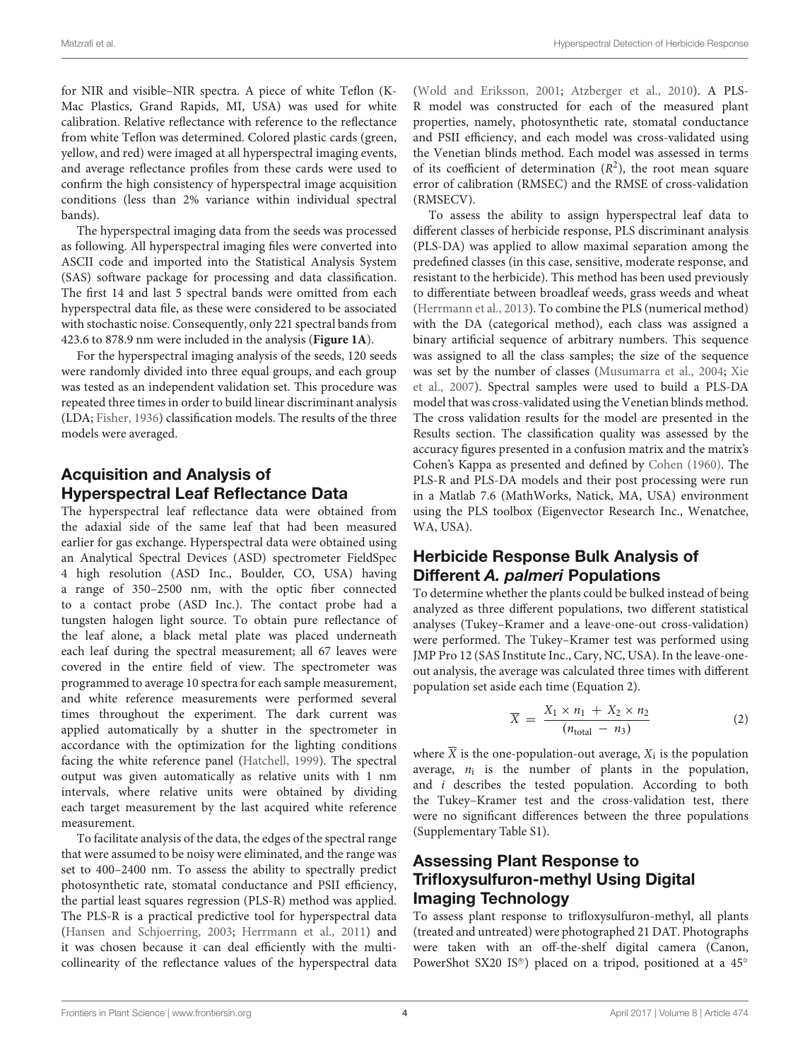for NIR and visible–NIR spectra. A piece of white Teflon (K-Mac Plastics, Grand Rapids, MI, USA) was used for white calibration. Relative reflectance with reference to the reflectance from white Teflon was determined. Colored plastic cards (green, yellow, and red) were imaged at all hyperspectral imaging events, and average reflectance profiles from these cards were used to confirm the high consistency of hyperspectral image acquisition conditions (less than 2% variance within individual spectral bands).

The hyperspectral imaging data from the seeds was processed as following. All hyperspectral imaging files were converted into ASCII code and imported into the Statistical Analysis System (SAS) software package for processing and data classification. The first 14 and last 5 spectral bands were omitted from each hyperspectral data file, as these were considered to be associated with stochastic noise. Consequently, only 221 spectral bands from 423.6 to 878.9 nm were included in the analysis (**Figure 1A**).

For the hyperspectral imaging analysis of the seeds, 120 seeds were randomly divided into three equal groups, and each group was tested as an independent validation set. This procedure was repeated three times in order to build linear discriminant analysis (LDA; Fisher, 1936) classification models. The results of the three models were averaged.

# Acquisition and Analysis of Hyperspectral Leaf Reflectance Data

The hyperspectral leaf reflectance data were obtained from the adaxial side of the same leaf that had been measured earlier for gas exchange. Hyperspectral data were obtained using an Analytical Spectral Devices (ASD) spectrometer FieldSpec 4 high resolution (ASD Inc., Boulder, CO, USA) having a range of 350–2500 nm, with the optic fiber connected to a contact probe (ASD Inc.). The contact probe had a tungsten halogen light source. To obtain pure reflectance of the leaf alone, a black metal plate was placed underneath each leaf during the spectral measurement; all 67 leaves were covered in the entire field of view. The spectrometer was programmed to average 10 spectra for each sample measurement, and white reference measurements were performed several times throughout the experiment. The dark current was applied automatically by a shutter in the spectrometer in accordance with the optimization for the lighting conditions facing the white reference panel (Hatchell, 1999). The spectral output was given automatically as relative units with 1 nm intervals, where relative units were obtained by dividing each target measurement by the last acquired white reference measurement.

To facilitate analysis of the data, the edges of the spectral range that were assumed to be noisy were eliminated, and the range was set to 400–2400 nm. To assess the ability to spectrally predict photosynthetic rate, stomatal conductance and PSII efficiency, the partial least squares regression (PLS-R) method was applied. The PLS-R is a practical predictive tool for hyperspectral data (Hansen and Schjoerring, 2003; Herrmann et al., 2011) and it was chosen because it can deal efficiently with the multicollinearity of the reflectance values of the hyperspectral data

(Wold and Eriksson, 2001; Atzberger et al., 2010). A PLS-R model was constructed for each of the measured plant properties, namely, photosynthetic rate, stomatal conductance and PSII efficiency, and each model was cross-validated using the Venetian blinds method. Each model was assessed in terms of its coefficient of determination  $(R^2)$ , the root mean square error of calibration (RMSEC) and the RMSE of cross-validation (RMSECV).

To assess the ability to assign hyperspectral leaf data to different classes of herbicide response, PLS discriminant analysis (PLS-DA) was applied to allow maximal separation among the predefined classes (in this case, sensitive, moderate response, and resistant to the herbicide). This method has been used previously to differentiate between broadleaf weeds, grass weeds and wheat (Herrmann et al., 2013). To combine the PLS (numerical method) with the DA (categorical method), each class was assigned a binary artificial sequence of arbitrary numbers. This sequence was assigned to all the class samples; the size of the sequence was set by the number of classes (Musumarra et al., 2004; Xie et al., 2007). Spectral samples were used to build a PLS-DA model that was cross-validated using the Venetian blinds method. The cross validation results for the model are presented in the Results section. The classification quality was assessed by the accuracy figures presented in a confusion matrix and the matrix's Cohen's Kappa as presented and defined by Cohen (1960). The PLS-R and PLS-DA models and their post processing were run in a Matlab 7.6 (MathWorks, Natick, MA, USA) environment using the PLS toolbox (Eigenvector Research Inc., Wenatchee, WA, USA).

## Herbicide Response Bulk Analysis of Different *A. palmeri* Populations

To determine whether the plants could be bulked instead of being analyzed as three different populations, two different statistical analyses (Tukey–Kramer and a leave-one-out cross-validation) were performed. The Tukey–Kramer test was performed using JMP Pro 12 (SAS Institute Inc., Cary, NC, USA). In the leave-oneout analysis, the average was calculated three times with different population set aside each time (Equation 2).

$$
\overline{X} = \frac{X_1 \times n_1 + X_2 \times n_2}{(n_{\text{total}} - n_3)} \tag{2}
$$

where  $X$  is the one-population-out average,  $X_i$  is the population average,  $n_i$  is the number of plants in the population, and i describes the tested population. According to both the Tukey–Kramer test and the cross-validation test, there were no significant differences between the three populations (Supplementary Table S1).

# Assessing Plant Response to Trifloxysulfuron-methyl Using Digital Imaging Technology

To assess plant response to trifloxysulfuron-methyl, all plants (treated and untreated) were photographed 21 DAT. Photographs were taken with an off-the-shelf digital camera (Canon, PowerShot SX20 IS®) placed on a tripod, positioned at a 45°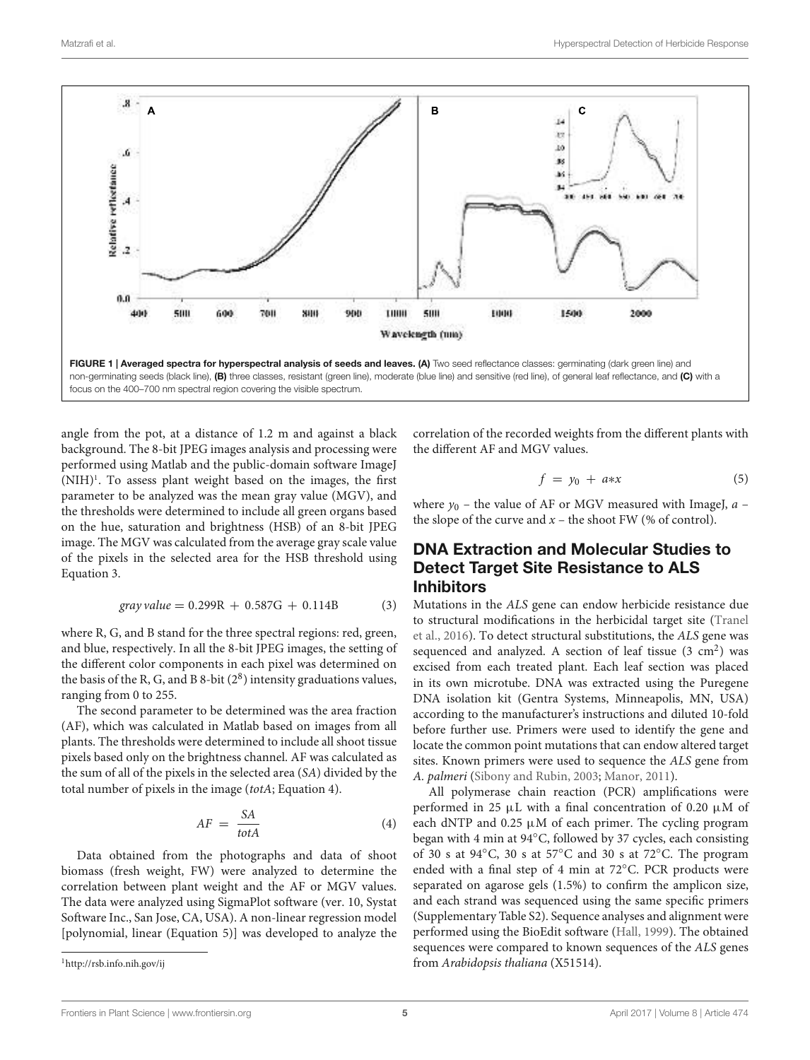

angle from the pot, at a distance of 1.2 m and against a black background. The 8-bit JPEG images analysis and processing were performed using Matlab and the public-domain software ImageJ  $(NIH)^1$ . To assess plant weight based on the images, the first parameter to be analyzed was the mean gray value (MGV), and the thresholds were determined to include all green organs based on the hue, saturation and brightness (HSB) of an 8-bit JPEG image. The MGV was calculated from the average gray scale value of the pixels in the selected area for the HSB threshold using Equation 3.

$$
gray value = 0.299R + 0.587G + 0.114B \tag{3}
$$

where R, G, and B stand for the three spectral regions: red, green, and blue, respectively. In all the 8-bit JPEG images, the setting of the different color components in each pixel was determined on the basis of the R, G, and B 8-bit  $(2^8)$  intensity graduations values, ranging from 0 to 255.

The second parameter to be determined was the area fraction (AF), which was calculated in Matlab based on images from all plants. The thresholds were determined to include all shoot tissue pixels based only on the brightness channel. AF was calculated as the sum of all of the pixels in the selected area (SA) divided by the total number of pixels in the image (totA; Equation 4).

$$
AF = \frac{SA}{totA} \tag{4}
$$

Data obtained from the photographs and data of shoot biomass (fresh weight, FW) were analyzed to determine the correlation between plant weight and the AF or MGV values. The data were analyzed using SigmaPlot software (ver. 10, Systat Software Inc., San Jose, CA, USA). A non-linear regression model [polynomial, linear (Equation 5)] was developed to analyze the

<sup>1</sup>http://rsb.info.nih.gov/ij

correlation of the recorded weights from the different plants with the different AF and MGV values.

$$
f = y_0 + a \ast x \tag{5}
$$

where  $y_0$  – the value of AF or MGV measured with ImageJ,  $a$  – the slope of the curve and  $x$  – the shoot FW (% of control).

## DNA Extraction and Molecular Studies to Detect Target Site Resistance to ALS Inhibitors

Mutations in the ALS gene can endow herbicide resistance due to structural modifications in the herbicidal target site (Tranel et al., 2016). To detect structural substitutions, the ALS gene was sequenced and analyzed. A section of leaf tissue  $(3 \text{ cm}^2)$  was excised from each treated plant. Each leaf section was placed in its own microtube. DNA was extracted using the Puregene DNA isolation kit (Gentra Systems, Minneapolis, MN, USA) according to the manufacturer's instructions and diluted 10-fold before further use. Primers were used to identify the gene and locate the common point mutations that can endow altered target sites. Known primers were used to sequence the ALS gene from A. palmeri (Sibony and Rubin, 2003; Manor, 2011).

All polymerase chain reaction (PCR) amplifications were performed in 25  $\mu$ L with a final concentration of 0.20  $\mu$ M of each dNTP and  $0.25 \mu M$  of each primer. The cycling program began with 4 min at 94◦C, followed by 37 cycles, each consisting of 30 s at 94◦C, 30 s at 57◦C and 30 s at 72◦C. The program ended with a final step of 4 min at 72◦C. PCR products were separated on agarose gels (1.5%) to confirm the amplicon size, and each strand was sequenced using the same specific primers (Supplementary Table S2). Sequence analyses and alignment were performed using the BioEdit software (Hall, 1999). The obtained sequences were compared to known sequences of the ALS genes from Arabidopsis thaliana (X51514).

Frontiers in Plant Science | www.frontiersin.org **5 April 2017 | Volume 8 | Article 474** April 2017 | Volume 8 | Article 474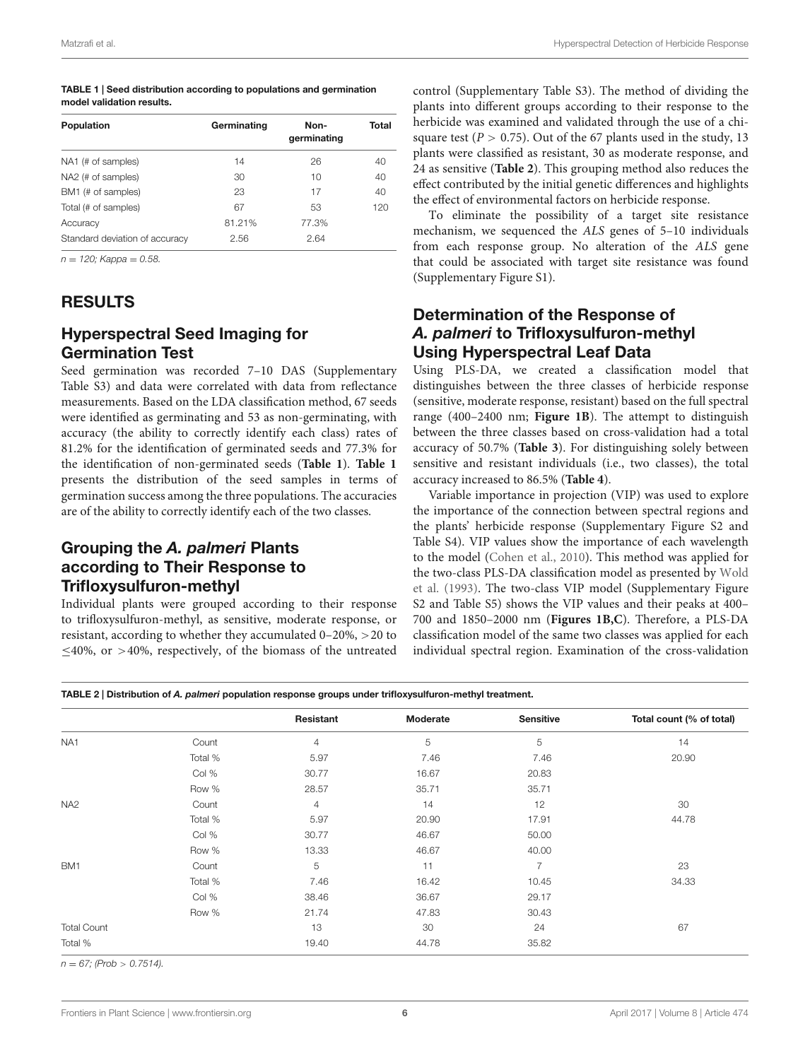| TABLE 1   Seed distribution according to populations and germination |
|----------------------------------------------------------------------|
| model validation results.                                            |

| Population                     | Germinating | Non-<br>germinating | Total |
|--------------------------------|-------------|---------------------|-------|
| NA1 (# of samples)             | 14          | 26                  | 40    |
| NA2 (# of samples)             | 30          | 10                  | 40    |
| BM1 (# of samples)             | 23          | 17                  | 40    |
| Total (# of samples)           | 67          | 53                  | 120   |
| Accuracy                       | 81.21%      | 77.3%               |       |
| Standard deviation of accuracy | 2.56        | 2.64                |       |

 $n = 120$ ; Kappa = 0.58.

# RESULTS

## Hyperspectral Seed Imaging for Germination Test

Seed germination was recorded 7–10 DAS (Supplementary Table S3) and data were correlated with data from reflectance measurements. Based on the LDA classification method, 67 seeds were identified as germinating and 53 as non-germinating, with accuracy (the ability to correctly identify each class) rates of 81.2% for the identification of germinated seeds and 77.3% for the identification of non-germinated seeds (**Table 1**). **Table 1** presents the distribution of the seed samples in terms of germination success among the three populations. The accuracies are of the ability to correctly identify each of the two classes.

# Grouping the *A. palmeri* Plants according to Their Response to Trifloxysulfuron-methyl

Individual plants were grouped according to their response to trifloxysulfuron-methyl, as sensitive, moderate response, or resistant, according to whether they accumulated 0–20%, >20 to ≤40%, or >40%, respectively, of the biomass of the untreated

control (Supplementary Table S3). The method of dividing the plants into different groups according to their response to the herbicide was examined and validated through the use of a chisquare test ( $P > 0.75$ ). Out of the 67 plants used in the study, 13 plants were classified as resistant, 30 as moderate response, and 24 as sensitive (**Table 2**). This grouping method also reduces the effect contributed by the initial genetic differences and highlights the effect of environmental factors on herbicide response.

To eliminate the possibility of a target site resistance mechanism, we sequenced the ALS genes of 5–10 individuals from each response group. No alteration of the ALS gene that could be associated with target site resistance was found (Supplementary Figure S1).

# Determination of the Response of *A. palmeri* to Trifloxysulfuron-methyl Using Hyperspectral Leaf Data

Using PLS-DA, we created a classification model that distinguishes between the three classes of herbicide response (sensitive, moderate response, resistant) based on the full spectral range (400–2400 nm; **Figure 1B**). The attempt to distinguish between the three classes based on cross-validation had a total accuracy of 50.7% (**Table 3**). For distinguishing solely between sensitive and resistant individuals (i.e., two classes), the total accuracy increased to 86.5% (**Table 4**).

Variable importance in projection (VIP) was used to explore the importance of the connection between spectral regions and the plants' herbicide response (Supplementary Figure S2 and Table S4). VIP values show the importance of each wavelength to the model (Cohen et al., 2010). This method was applied for the two-class PLS-DA classification model as presented by Wold et al. (1993). The two-class VIP model (Supplementary Figure S2 and Table S5) shows the VIP values and their peaks at 400– 700 and 1850–2000 nm (**Figures 1B,C**). Therefore, a PLS-DA classification model of the same two classes was applied for each individual spectral region. Examination of the cross-validation

TABLE 2 | Distribution of *A. palmeri* population response groups under trifloxysulfuron-methyl treatment.

|                    |         | Resistant      | Moderate | <b>Sensitive</b> | Total count (% of total) |
|--------------------|---------|----------------|----------|------------------|--------------------------|
| NA <sub>1</sub>    | Count   | $\overline{4}$ | 5        | 5                | 14                       |
|                    | Total % | 5.97           | 7.46     | 7.46             | 20.90                    |
|                    | Col %   | 30.77          | 16.67    | 20.83            |                          |
|                    | Row %   | 28.57          | 35.71    | 35.71            |                          |
| NA <sub>2</sub>    | Count   | 4              | 14       | 12               | 30                       |
|                    | Total % | 5.97           | 20.90    | 17.91            | 44.78                    |
|                    | Col %   | 30.77          | 46.67    | 50.00            |                          |
|                    | Row %   | 13.33          | 46.67    | 40.00            |                          |
| BM1                | Count   | 5              | 11       | 7                | 23                       |
|                    | Total % | 7.46           | 16.42    | 10.45            | 34.33                    |
|                    | Col %   | 38.46          | 36.67    | 29.17            |                          |
|                    | Row %   | 21.74          | 47.83    | 30.43            |                          |
| <b>Total Count</b> |         | 13             | 30       | 24               | 67                       |
| Total %            |         | 19.40          | 44.78    | 35.82            |                          |

 $n = 67$ ; (Prob > 0.7514).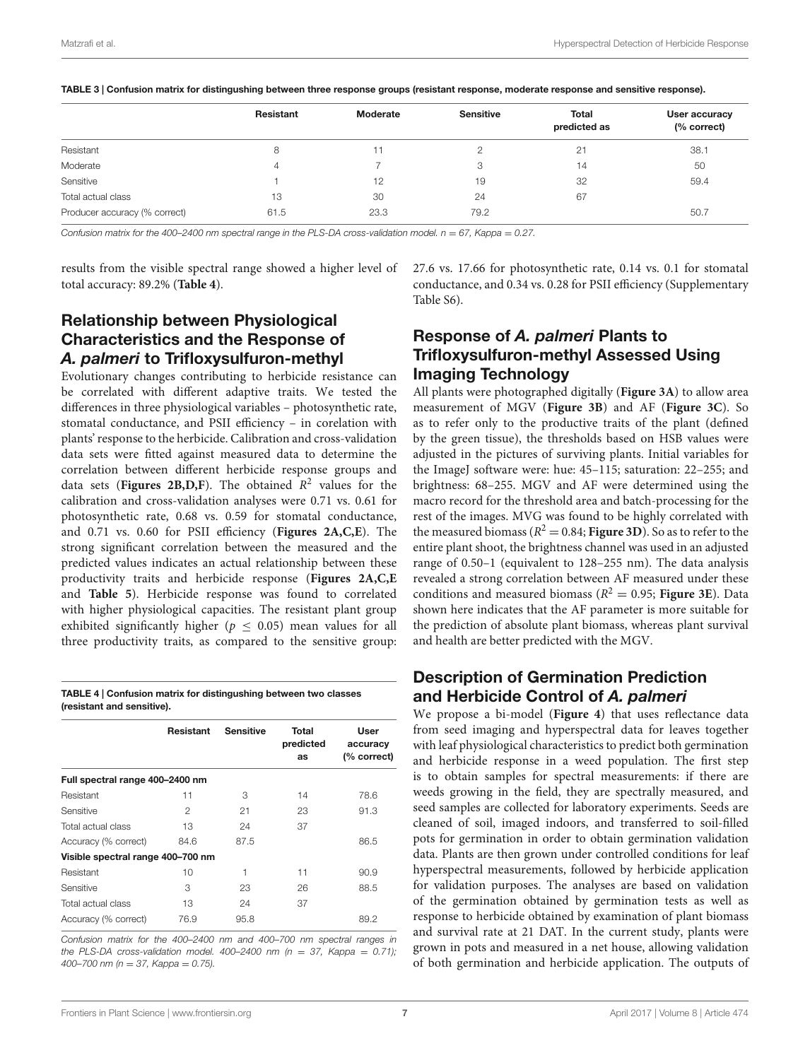|                               | Resistant | Moderate | <b>Sensitive</b> | Total<br>predicted as | User accuracy<br>(% correct) |
|-------------------------------|-----------|----------|------------------|-----------------------|------------------------------|
| Resistant                     |           |          |                  | 21                    | 38.1                         |
| Moderate                      | 4         |          | 3                | 14                    | 50                           |
| Sensitive                     |           | 12       | 19               | 32                    | 59.4                         |
| Total actual class            | 13        | 30       | 24               | 67                    |                              |
| Producer accuracy (% correct) | 61.5      | 23.3     | 79.2             |                       | 50.7                         |

TABLE 3 | Confusion matrix for distingushing between three response groups (resistant response, moderate response and sensitive response).

Confusion matrix for the 400-2400 nm spectral range in the PLS-DA cross-validation model.  $n = 67$ , Kappa = 0.27.

results from the visible spectral range showed a higher level of total accuracy: 89.2% (**Table 4**).

# Relationship between Physiological Characteristics and the Response of *A. palmeri* to Trifloxysulfuron-methyl

Evolutionary changes contributing to herbicide resistance can be correlated with different adaptive traits. We tested the differences in three physiological variables – photosynthetic rate, stomatal conductance, and PSII efficiency – in corelation with plants' response to the herbicide. Calibration and cross-validation data sets were fitted against measured data to determine the correlation between different herbicide response groups and data sets (Figures 2B, D, F). The obtained  $R^2$  values for the calibration and cross-validation analyses were 0.71 vs. 0.61 for photosynthetic rate, 0.68 vs. 0.59 for stomatal conductance, and 0.71 vs. 0.60 for PSII efficiency (**Figures 2A,C,E**). The strong significant correlation between the measured and the predicted values indicates an actual relationship between these productivity traits and herbicide response (**Figures 2A,C,E** and **Table 5**). Herbicide response was found to correlated with higher physiological capacities. The resistant plant group exhibited significantly higher ( $p < 0.05$ ) mean values for all three productivity traits, as compared to the sensitive group:

| TABLE 4   Confusion matrix for distingushing between two classes |  |
|------------------------------------------------------------------|--|
| (resistant and sensitive).                                       |  |

|                                   | <b>Resistant</b> | <b>Sensitive</b> | Total<br>predicted<br>as | User<br>accuracy<br>(% correct) |
|-----------------------------------|------------------|------------------|--------------------------|---------------------------------|
| Full spectral range 400-2400 nm   |                  |                  |                          |                                 |
| Resistant                         | 11               | 3                | 14                       | 78.6                            |
| Sensitive                         | 2                | 21               | 23                       | 91.3                            |
| Total actual class                | 13               | 24               | 37                       |                                 |
| Accuracy (% correct)              | 84.6             | 87.5             |                          | 86.5                            |
| Visible spectral range 400-700 nm |                  |                  |                          |                                 |
| Resistant                         | 10               | 1                | 11                       | 90.9                            |
| Sensitive                         | З                | 23               | 26                       | 88.5                            |
| Total actual class                | 13               | 24               | 37                       |                                 |
| Accuracy (% correct)              | 76.9             | 95.8             |                          | 89.2                            |

Confusion matrix for the 400–2400 nm and 400–700 nm spectral ranges in the PLS-DA cross-validation model.  $400-2400$  nm (n = 37, Kappa = 0.71); 400–700 nm ( $n = 37$ , Kappa = 0.75).

27.6 vs. 17.66 for photosynthetic rate, 0.14 vs. 0.1 for stomatal conductance, and 0.34 vs. 0.28 for PSII efficiency (Supplementary Table S6).

# Response of *A. palmeri* Plants to Trifloxysulfuron-methyl Assessed Using Imaging Technology

All plants were photographed digitally (**Figure 3A**) to allow area measurement of MGV (**Figure 3B**) and AF (**Figure 3C**). So as to refer only to the productive traits of the plant (defined by the green tissue), the thresholds based on HSB values were adjusted in the pictures of surviving plants. Initial variables for the ImageJ software were: hue: 45–115; saturation: 22–255; and brightness: 68–255. MGV and AF were determined using the macro record for the threshold area and batch-processing for the rest of the images. MVG was found to be highly correlated with the measured biomass ( $R^2 = 0.84$ ; **Figure 3D**). So as to refer to the entire plant shoot, the brightness channel was used in an adjusted range of 0.50–1 (equivalent to 128–255 nm). The data analysis revealed a strong correlation between AF measured under these conditions and measured biomass ( $R^2 = 0.95$ ; **Figure 3E**). Data shown here indicates that the AF parameter is more suitable for the prediction of absolute plant biomass, whereas plant survival and health are better predicted with the MGV.

# Description of Germination Prediction and Herbicide Control of *A. palmeri*

We propose a bi-model (**Figure 4**) that uses reflectance data from seed imaging and hyperspectral data for leaves together with leaf physiological characteristics to predict both germination and herbicide response in a weed population. The first step is to obtain samples for spectral measurements: if there are weeds growing in the field, they are spectrally measured, and seed samples are collected for laboratory experiments. Seeds are cleaned of soil, imaged indoors, and transferred to soil-filled pots for germination in order to obtain germination validation data. Plants are then grown under controlled conditions for leaf hyperspectral measurements, followed by herbicide application for validation purposes. The analyses are based on validation of the germination obtained by germination tests as well as response to herbicide obtained by examination of plant biomass and survival rate at 21 DAT. In the current study, plants were grown in pots and measured in a net house, allowing validation of both germination and herbicide application. The outputs of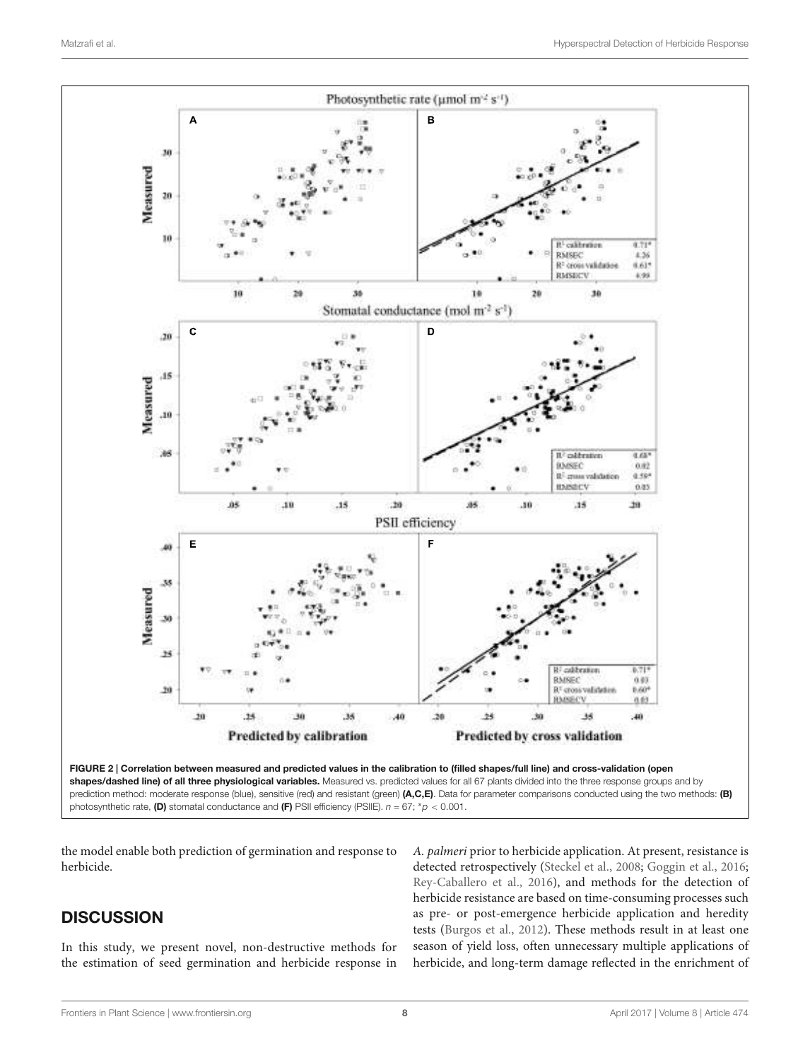

the model enable both prediction of germination and response to herbicide.

# **DISCUSSION**

In this study, we present novel, non-destructive methods for the estimation of seed germination and herbicide response in A. palmeri prior to herbicide application. At present, resistance is detected retrospectively (Steckel et al., 2008; Goggin et al., 2016; Rey-Caballero et al., 2016), and methods for the detection of herbicide resistance are based on time-consuming processes such as pre- or post-emergence herbicide application and heredity tests (Burgos et al., 2012). These methods result in at least one season of yield loss, often unnecessary multiple applications of herbicide, and long-term damage reflected in the enrichment of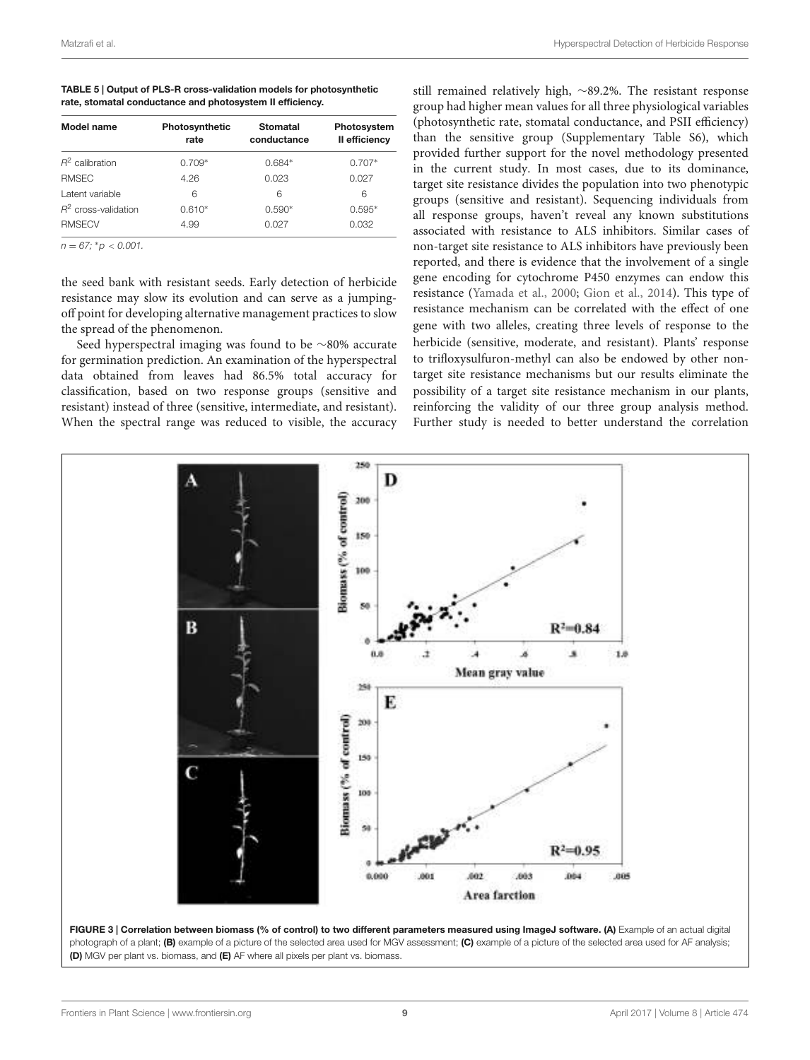| TABLE 5   Output of PLS-R cross-validation models for photosynthetic |
|----------------------------------------------------------------------|
| rate, stomatal conductance and photosystem II efficiency.            |

| Model name             | Photosynthetic<br>rate | <b>Stomatal</b><br>conductance | Photosystem<br>Il efficiency |
|------------------------|------------------------|--------------------------------|------------------------------|
| $R^2$ calibration      | $0.709*$               | $0.684*$                       | $0.707*$                     |
| <b>RMSEC</b>           | 4.26                   | 0.023                          | 0.027                        |
| Latent variable        | 6                      | 6                              | 6                            |
| $R^2$ cross-validation | $0.610*$               | $0.590*$                       | $0.595*$                     |
| <b>RMSECV</b>          | 4.99                   | 0.027                          | 0.032                        |

 $n = 67$ ; \* $p < 0.001$ .

the seed bank with resistant seeds. Early detection of herbicide resistance may slow its evolution and can serve as a jumpingoff point for developing alternative management practices to slow the spread of the phenomenon.

Seed hyperspectral imaging was found to be ∼80% accurate for germination prediction. An examination of the hyperspectral data obtained from leaves had 86.5% total accuracy for classification, based on two response groups (sensitive and resistant) instead of three (sensitive, intermediate, and resistant). When the spectral range was reduced to visible, the accuracy still remained relatively high, ∼89.2%. The resistant response group had higher mean values for all three physiological variables (photosynthetic rate, stomatal conductance, and PSII efficiency) than the sensitive group (Supplementary Table S6), which provided further support for the novel methodology presented in the current study. In most cases, due to its dominance, target site resistance divides the population into two phenotypic groups (sensitive and resistant). Sequencing individuals from all response groups, haven't reveal any known substitutions associated with resistance to ALS inhibitors. Similar cases of non-target site resistance to ALS inhibitors have previously been reported, and there is evidence that the involvement of a single gene encoding for cytochrome P450 enzymes can endow this resistance (Yamada et al., 2000; Gion et al., 2014). This type of resistance mechanism can be correlated with the effect of one gene with two alleles, creating three levels of response to the herbicide (sensitive, moderate, and resistant). Plants' response to trifloxysulfuron-methyl can also be endowed by other nontarget site resistance mechanisms but our results eliminate the possibility of a target site resistance mechanism in our plants, reinforcing the validity of our three group analysis method. Further study is needed to better understand the correlation

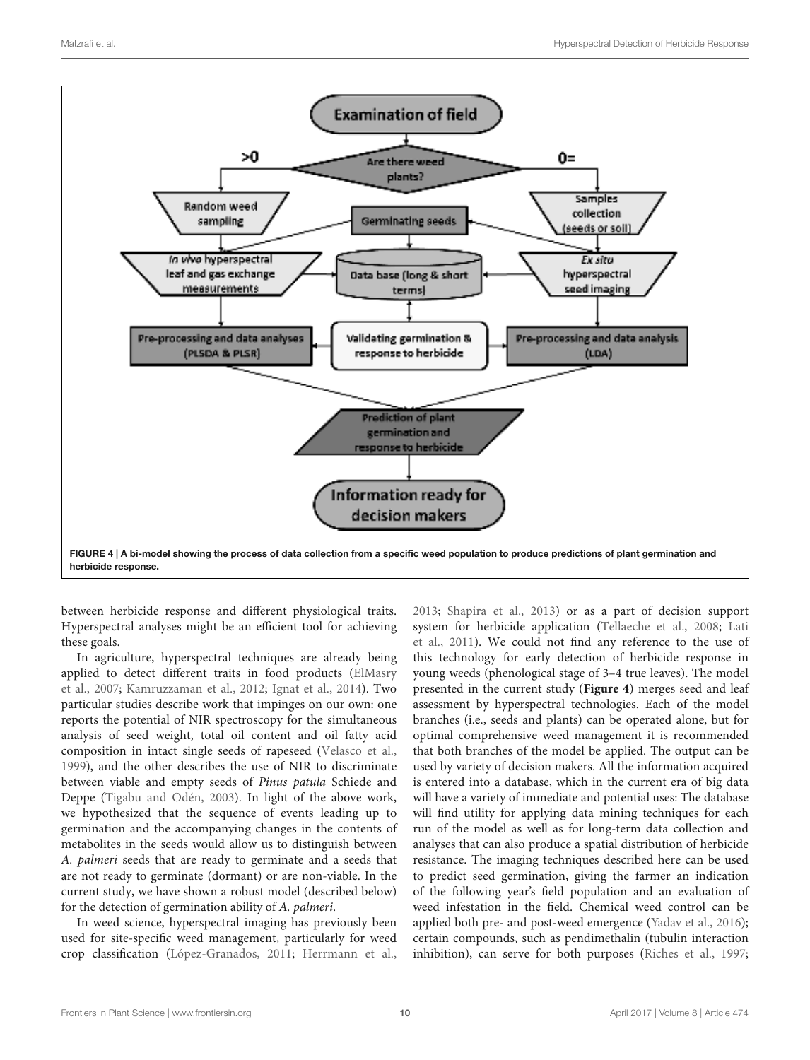

between herbicide response and different physiological traits. Hyperspectral analyses might be an efficient tool for achieving these goals.

In agriculture, hyperspectral techniques are already being applied to detect different traits in food products (ElMasry et al., 2007; Kamruzzaman et al., 2012; Ignat et al., 2014). Two particular studies describe work that impinges on our own: one reports the potential of NIR spectroscopy for the simultaneous analysis of seed weight, total oil content and oil fatty acid composition in intact single seeds of rapeseed (Velasco et al., 1999), and the other describes the use of NIR to discriminate between viable and empty seeds of Pinus patula Schiede and Deppe (Tigabu and Odén, 2003). In light of the above work, we hypothesized that the sequence of events leading up to germination and the accompanying changes in the contents of metabolites in the seeds would allow us to distinguish between A. palmeri seeds that are ready to germinate and a seeds that are not ready to germinate (dormant) or are non-viable. In the current study, we have shown a robust model (described below) for the detection of germination ability of A. palmeri.

In weed science, hyperspectral imaging has previously been used for site-specific weed management, particularly for weed crop classification (López-Granados, 2011; Herrmann et al., 2013; Shapira et al., 2013) or as a part of decision support system for herbicide application (Tellaeche et al., 2008; Lati et al., 2011). We could not find any reference to the use of this technology for early detection of herbicide response in young weeds (phenological stage of 3–4 true leaves). The model presented in the current study (**Figure 4**) merges seed and leaf assessment by hyperspectral technologies. Each of the model branches (i.e., seeds and plants) can be operated alone, but for optimal comprehensive weed management it is recommended that both branches of the model be applied. The output can be used by variety of decision makers. All the information acquired is entered into a database, which in the current era of big data will have a variety of immediate and potential uses: The database will find utility for applying data mining techniques for each run of the model as well as for long-term data collection and analyses that can also produce a spatial distribution of herbicide resistance. The imaging techniques described here can be used to predict seed germination, giving the farmer an indication of the following year's field population and an evaluation of weed infestation in the field. Chemical weed control can be applied both pre- and post-weed emergence (Yadav et al., 2016); certain compounds, such as pendimethalin (tubulin interaction inhibition), can serve for both purposes (Riches et al., 1997;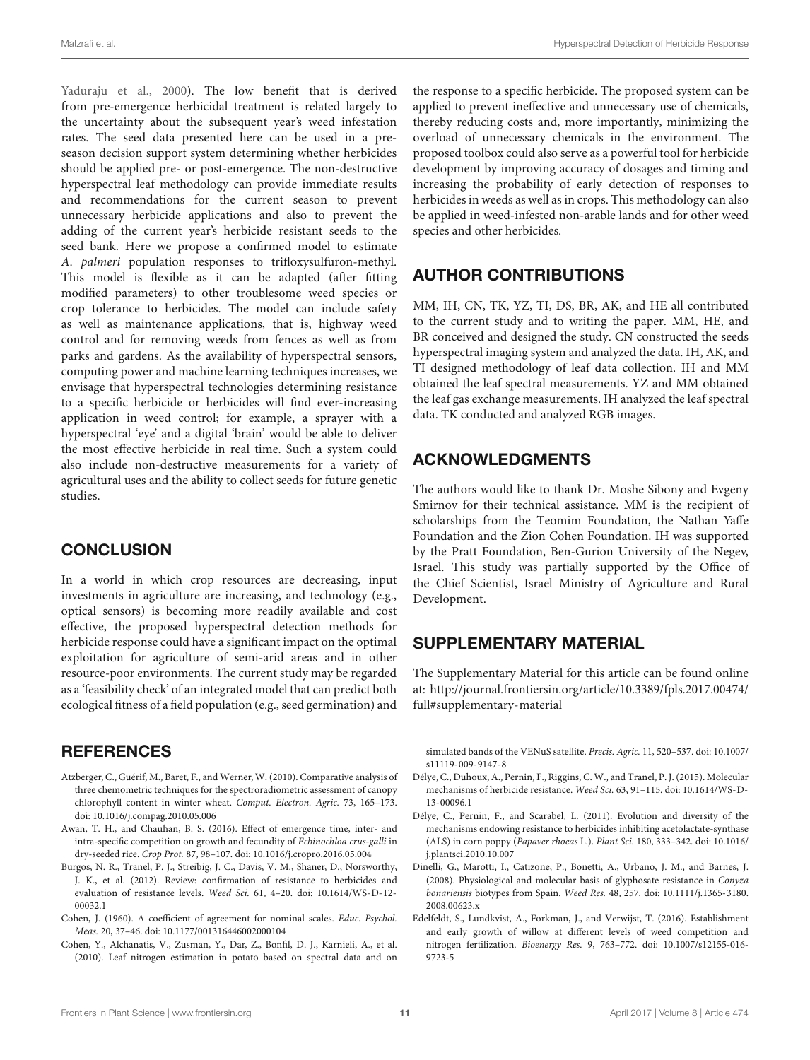Yaduraju et al., 2000). The low benefit that is derived from pre-emergence herbicidal treatment is related largely to the uncertainty about the subsequent year's weed infestation rates. The seed data presented here can be used in a preseason decision support system determining whether herbicides should be applied pre- or post-emergence. The non-destructive hyperspectral leaf methodology can provide immediate results and recommendations for the current season to prevent unnecessary herbicide applications and also to prevent the adding of the current year's herbicide resistant seeds to the seed bank. Here we propose a confirmed model to estimate A. palmeri population responses to trifloxysulfuron-methyl. This model is flexible as it can be adapted (after fitting modified parameters) to other troublesome weed species or crop tolerance to herbicides. The model can include safety as well as maintenance applications, that is, highway weed control and for removing weeds from fences as well as from parks and gardens. As the availability of hyperspectral sensors, computing power and machine learning techniques increases, we envisage that hyperspectral technologies determining resistance to a specific herbicide or herbicides will find ever-increasing application in weed control; for example, a sprayer with a hyperspectral 'eye' and a digital 'brain' would be able to deliver the most effective herbicide in real time. Such a system could also include non-destructive measurements for a variety of agricultural uses and the ability to collect seeds for future genetic studies.

# **CONCLUSION**

In a world in which crop resources are decreasing, input investments in agriculture are increasing, and technology (e.g., optical sensors) is becoming more readily available and cost effective, the proposed hyperspectral detection methods for herbicide response could have a significant impact on the optimal exploitation for agriculture of semi-arid areas and in other resource-poor environments. The current study may be regarded as a 'feasibility check' of an integrated model that can predict both ecological fitness of a field population (e.g., seed germination) and

# **REFERENCES**

- Atzberger, C., Guérif, M., Baret, F., and Werner, W. (2010). Comparative analysis of three chemometric techniques for the spectroradiometric assessment of canopy chlorophyll content in winter wheat. Comput. Electron. Agric. 73, 165–173. doi: 10.1016/j.compag.2010.05.006
- Awan, T. H., and Chauhan, B. S. (2016). Effect of emergence time, inter- and intra-specific competition on growth and fecundity of Echinochloa crus-galli in dry-seeded rice. Crop Prot. 87, 98–107. doi: 10.1016/j.cropro.2016.05.004
- Burgos, N. R., Tranel, P. J., Streibig, J. C., Davis, V. M., Shaner, D., Norsworthy, J. K., et al. (2012). Review: confirmation of resistance to herbicides and evaluation of resistance levels. Weed Sci. 61, 4–20. doi: 10.1614/WS-D-12- 00032.1
- Cohen, J. (1960). A coefficient of agreement for nominal scales. Educ. Psychol. Meas. 20, 37–46. doi: 10.1177/001316446002000104
- Cohen, Y., Alchanatis, V., Zusman, Y., Dar, Z., Bonfil, D. J., Karnieli, A., et al. (2010). Leaf nitrogen estimation in potato based on spectral data and on

the response to a specific herbicide. The proposed system can be applied to prevent ineffective and unnecessary use of chemicals, thereby reducing costs and, more importantly, minimizing the overload of unnecessary chemicals in the environment. The proposed toolbox could also serve as a powerful tool for herbicide development by improving accuracy of dosages and timing and increasing the probability of early detection of responses to herbicides in weeds as well as in crops. This methodology can also be applied in weed-infested non-arable lands and for other weed species and other herbicides.

# AUTHOR CONTRIBUTIONS

MM, IH, CN, TK, YZ, TI, DS, BR, AK, and HE all contributed to the current study and to writing the paper. MM, HE, and BR conceived and designed the study. CN constructed the seeds hyperspectral imaging system and analyzed the data. IH, AK, and TI designed methodology of leaf data collection. IH and MM obtained the leaf spectral measurements. YZ and MM obtained the leaf gas exchange measurements. IH analyzed the leaf spectral data. TK conducted and analyzed RGB images.

# ACKNOWLEDGMENTS

The authors would like to thank Dr. Moshe Sibony and Evgeny Smirnov for their technical assistance. MM is the recipient of scholarships from the Teomim Foundation, the Nathan Yaffe Foundation and the Zion Cohen Foundation. IH was supported by the Pratt Foundation, Ben-Gurion University of the Negev, Israel. This study was partially supported by the Office of the Chief Scientist, Israel Ministry of Agriculture and Rural Development.

# SUPPLEMENTARY MATERIAL

The Supplementary Material for this article can be found online at: http://journal.frontiersin.org/article/10.3389/fpls.2017.00474/ full#supplementary-material

simulated bands of the VENuS satellite. Precis. Agric. 11, 520–537. doi: 10.1007/ s11119-009-9147-8

- Délye, C., Duhoux, A., Pernin, F., Riggins, C. W., and Tranel, P. J. (2015). Molecular mechanisms of herbicide resistance. Weed Sci. 63, 91–115. doi: 10.1614/WS-D-13-00096.1
- Délye, C., Pernin, F., and Scarabel, L. (2011). Evolution and diversity of the mechanisms endowing resistance to herbicides inhibiting acetolactate-synthase (ALS) in corn poppy (Papaver rhoeas L.). Plant Sci. 180, 333–342. doi: 10.1016/ j.plantsci.2010.10.007
- Dinelli, G., Marotti, I., Catizone, P., Bonetti, A., Urbano, J. M., and Barnes, J. (2008). Physiological and molecular basis of glyphosate resistance in Conyza bonariensis biotypes from Spain. Weed Res. 48, 257. doi: 10.1111/j.1365-3180. 2008.00623.x
- Edelfeldt, S., Lundkvist, A., Forkman, J., and Verwijst, T. (2016). Establishment and early growth of willow at different levels of weed competition and nitrogen fertilization. Bioenergy Res. 9, 763–772. doi: 10.1007/s12155-016- 9723-5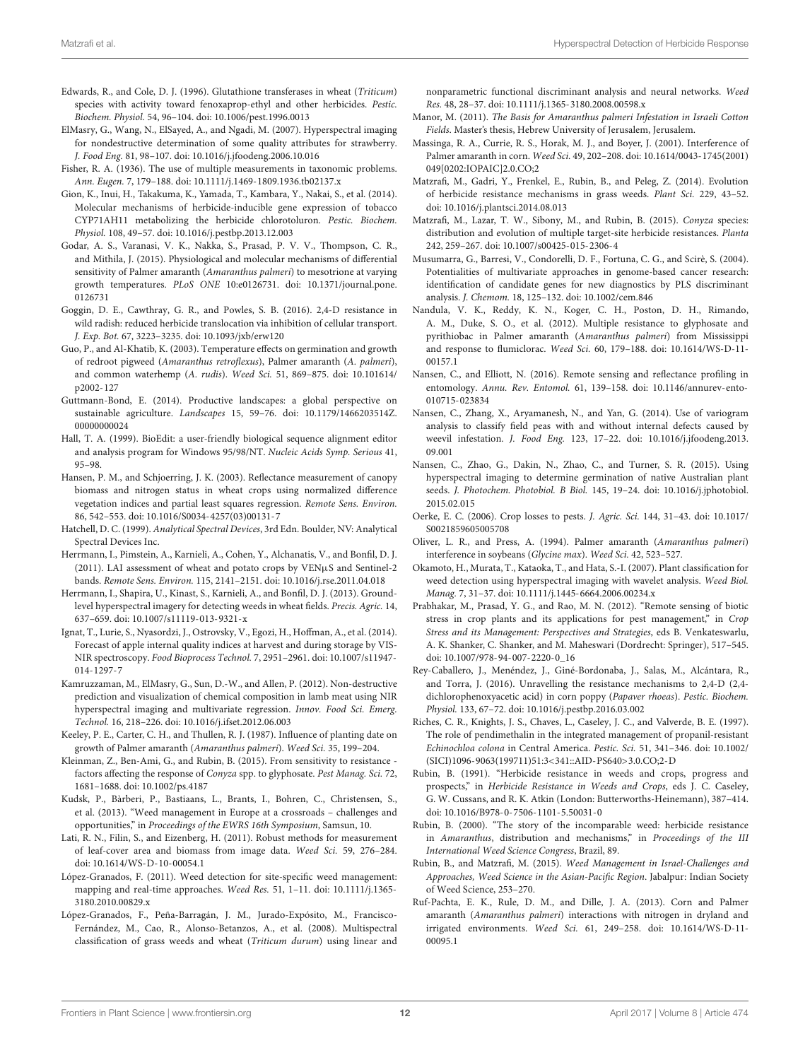- Edwards, R., and Cole, D. J. (1996). Glutathione transferases in wheat (Triticum) species with activity toward fenoxaprop-ethyl and other herbicides. Pestic. Biochem. Physiol. 54, 96–104. doi: 10.1006/pest.1996.0013
- ElMasry, G., Wang, N., ElSayed, A., and Ngadi, M. (2007). Hyperspectral imaging for nondestructive determination of some quality attributes for strawberry. J. Food Eng. 81, 98–107. doi: 10.1016/j.jfoodeng.2006.10.016
- Fisher, R. A. (1936). The use of multiple measurements in taxonomic problems. Ann. Eugen. 7, 179–188. doi: 10.1111/j.1469-1809.1936.tb02137.x
- Gion, K., Inui, H., Takakuma, K., Yamada, T., Kambara, Y., Nakai, S., et al. (2014). Molecular mechanisms of herbicide-inducible gene expression of tobacco CYP71AH11 metabolizing the herbicide chlorotoluron. Pestic. Biochem. Physiol. 108, 49–57. doi: 10.1016/j.pestbp.2013.12.003
- Godar, A. S., Varanasi, V. K., Nakka, S., Prasad, P. V. V., Thompson, C. R., and Mithila, J. (2015). Physiological and molecular mechanisms of differential sensitivity of Palmer amaranth (Amaranthus palmeri) to mesotrione at varying growth temperatures. PLoS ONE 10:e0126731. doi: 10.1371/journal.pone. 0126731
- Goggin, D. E., Cawthray, G. R., and Powles, S. B. (2016). 2,4-D resistance in wild radish: reduced herbicide translocation via inhibition of cellular transport. J. Exp. Bot. 67, 3223–3235. doi: 10.1093/jxb/erw120
- Guo, P., and Al-Khatib, K. (2003). Temperature effects on germination and growth of redroot pigweed (Amaranthus retroflexus), Palmer amaranth (A. palmeri), and common waterhemp (A. rudis). Weed Sci. 51, 869–875. doi: 10.101614/ p2002-127
- Guttmann-Bond, E. (2014). Productive landscapes: a global perspective on sustainable agriculture. Landscapes 15, 59–76. doi: 10.1179/1466203514Z. 00000000024
- Hall, T. A. (1999). BioEdit: a user-friendly biological sequence alignment editor and analysis program for Windows 95/98/NT. Nucleic Acids Symp. Serious 41, 95–98.
- Hansen, P. M., and Schjoerring, J. K. (2003). Reflectance measurement of canopy biomass and nitrogen status in wheat crops using normalized difference vegetation indices and partial least squares regression. Remote Sens. Environ. 86, 542–553. doi: 10.1016/S0034-4257(03)00131-7
- Hatchell, D. C. (1999). Analytical Spectral Devices, 3rd Edn. Boulder, NV: Analytical Spectral Devices Inc.
- Herrmann, I., Pimstein, A., Karnieli, A., Cohen, Y., Alchanatis, V., and Bonfil, D. J. (2011). LAI assessment of wheat and potato crops by VENµS and Sentinel-2 bands. Remote Sens. Environ. 115, 2141–2151. doi: 10.1016/j.rse.2011.04.018
- Herrmann, I., Shapira, U., Kinast, S., Karnieli, A., and Bonfil, D. J. (2013). Groundlevel hyperspectral imagery for detecting weeds in wheat fields. Precis. Agric. 14, 637–659. doi: 10.1007/s11119-013-9321-x
- Ignat, T., Lurie, S., Nyasordzi, J., Ostrovsky, V., Egozi, H., Hoffman, A., et al. (2014). Forecast of apple internal quality indices at harvest and during storage by VIS-NIR spectroscopy. Food Bioprocess Technol. 7, 2951–2961. doi: 10.1007/s11947- 014-1297-7
- Kamruzzaman, M., ElMasry, G., Sun, D.-W., and Allen, P. (2012). Non-destructive prediction and visualization of chemical composition in lamb meat using NIR hyperspectral imaging and multivariate regression. Innov. Food Sci. Emerg. Technol. 16, 218–226. doi: 10.1016/j.ifset.2012.06.003
- Keeley, P. E., Carter, C. H., and Thullen, R. J. (1987). Influence of planting date on growth of Palmer amaranth (Amaranthus palmeri). Weed Sci. 35, 199–204.
- Kleinman, Z., Ben-Ami, G., and Rubin, B. (2015). From sensitivity to resistance factors affecting the response of Conyza spp. to glyphosate. Pest Manag. Sci. 72, 1681–1688. doi: 10.1002/ps.4187
- Kudsk, P., Bàrberi, P., Bastiaans, L., Brants, I., Bohren, C., Christensen, S., et al. (2013). "Weed management in Europe at a crossroads – challenges and opportunities," in Proceedings of the EWRS 16th Symposium, Samsun, 10.
- Lati, R. N., Filin, S., and Eizenberg, H. (2011). Robust methods for measurement of leaf-cover area and biomass from image data. Weed Sci. 59, 276–284. doi: 10.1614/WS-D-10-00054.1
- López-Granados, F. (2011). Weed detection for site-specific weed management: mapping and real-time approaches. Weed Res. 51, 1–11. doi: 10.1111/j.1365- 3180.2010.00829.x
- López-Granados, F., Peña-Barragán, J. M., Jurado-Expósito, M., Francisco-Fernández, M., Cao, R., Alonso-Betanzos, A., et al. (2008). Multispectral classification of grass weeds and wheat (Triticum durum) using linear and

nonparametric functional discriminant analysis and neural networks. Weed Res. 48, 28–37. doi: 10.1111/j.1365-3180.2008.00598.x

- Manor, M. (2011). The Basis for Amaranthus palmeri Infestation in Israeli Cotton Fields. Master's thesis, Hebrew University of Jerusalem, Jerusalem.
- Massinga, R. A., Currie, R. S., Horak, M. J., and Boyer, J. (2001). Interference of Palmer amaranth in corn. Weed Sci. 49, 202–208. doi: 10.1614/0043-1745(2001) 049[0202:IOPAIC]2.0.CO;2
- Matzrafi, M., Gadri, Y., Frenkel, E., Rubin, B., and Peleg, Z. (2014). Evolution of herbicide resistance mechanisms in grass weeds. Plant Sci. 229, 43–52. doi: 10.1016/j.plantsci.2014.08.013
- Matzrafi, M., Lazar, T. W., Sibony, M., and Rubin, B. (2015). Conyza species: distribution and evolution of multiple target-site herbicide resistances. Planta 242, 259–267. doi: 10.1007/s00425-015-2306-4
- Musumarra, G., Barresi, V., Condorelli, D. F., Fortuna, C. G., and Scirè, S. (2004). Potentialities of multivariate approaches in genome-based cancer research: identification of candidate genes for new diagnostics by PLS discriminant analysis. J. Chemom. 18, 125–132. doi: 10.1002/cem.846
- Nandula, V. K., Reddy, K. N., Koger, C. H., Poston, D. H., Rimando, A. M., Duke, S. O., et al. (2012). Multiple resistance to glyphosate and pyrithiobac in Palmer amaranth (Amaranthus palmeri) from Mississippi and response to flumiclorac. Weed Sci. 60, 179–188. doi: 10.1614/WS-D-11- 00157.1
- Nansen, C., and Elliott, N. (2016). Remote sensing and reflectance profiling in entomology. Annu. Rev. Entomol. 61, 139–158. doi: 10.1146/annurev-ento-010715-023834
- Nansen, C., Zhang, X., Aryamanesh, N., and Yan, G. (2014). Use of variogram analysis to classify field peas with and without internal defects caused by weevil infestation. J. Food Eng. 123, 17–22. doi: 10.1016/j.jfoodeng.2013. 09.001
- Nansen, C., Zhao, G., Dakin, N., Zhao, C., and Turner, S. R. (2015). Using hyperspectral imaging to determine germination of native Australian plant seeds. J. Photochem. Photobiol. B Biol. 145, 19-24. doi: 10.1016/j.jphotobiol. 2015.02.015
- Oerke, E. C. (2006). Crop losses to pests. J. Agric. Sci. 144, 31–43. doi: 10.1017/ S0021859605005708
- Oliver, L. R., and Press, A. (1994). Palmer amaranth (Amaranthus palmeri) interference in soybeans (Glycine max). Weed Sci. 42, 523–527.
- Okamoto, H., Murata, T., Kataoka, T., and Hata, S.-I. (2007). Plant classification for weed detection using hyperspectral imaging with wavelet analysis. Weed Biol. Manag. 7, 31–37. doi: 10.1111/j.1445-6664.2006.00234.x
- Prabhakar, M., Prasad, Y. G., and Rao, M. N. (2012). "Remote sensing of biotic stress in crop plants and its applications for pest management," in Crop Stress and its Management: Perspectives and Strategies, eds B. Venkateswarlu, A. K. Shanker, C. Shanker, and M. Maheswari (Dordrecht: Springer), 517–545. doi: 10.1007/978-94-007-2220-0\_16
- Rey-Caballero, J., Menéndez, J., Giné-Bordonaba, J., Salas, M., Alcántara, R., and Torra, J. (2016). Unravelling the resistance mechanisms to 2,4-D (2,4 dichlorophenoxyacetic acid) in corn poppy (Papaver rhoeas). Pestic. Biochem. Physiol. 133, 67–72. doi: 10.1016/j.pestbp.2016.03.002
- Riches, C. R., Knights, J. S., Chaves, L., Caseley, J. C., and Valverde, B. E. (1997). The role of pendimethalin in the integrated management of propanil-resistant Echinochloa colona in Central America. Pestic. Sci. 51, 341–346. doi: 10.1002/ (SICI)1096-9063(199711)51:3<341::AID-PS640>3.0.CO;2-D
- Rubin, B. (1991). "Herbicide resistance in weeds and crops, progress and prospects," in Herbicide Resistance in Weeds and Crops, eds J. C. Caseley, G. W. Cussans, and R. K. Atkin (London: Butterworths-Heinemann), 387–414. doi: 10.1016/B978-0-7506-1101-5.50031-0
- Rubin, B. (2000). "The story of the incomparable weed: herbicide resistance in Amaranthus, distribution and mechanisms," in Proceedings of the III International Weed Science Congress, Brazil, 89.
- Rubin, B., and Matzrafi, M. (2015). Weed Management in Israel-Challenges and Approaches, Weed Science in the Asian-Pacific Region. Jabalpur: Indian Society of Weed Science, 253–270.
- Ruf-Pachta, E. K., Rule, D. M., and Dille, J. A. (2013). Corn and Palmer amaranth (Amaranthus palmeri) interactions with nitrogen in dryland and irrigated environments. Weed Sci. 61, 249–258. doi: 10.1614/WS-D-11- 00095.1